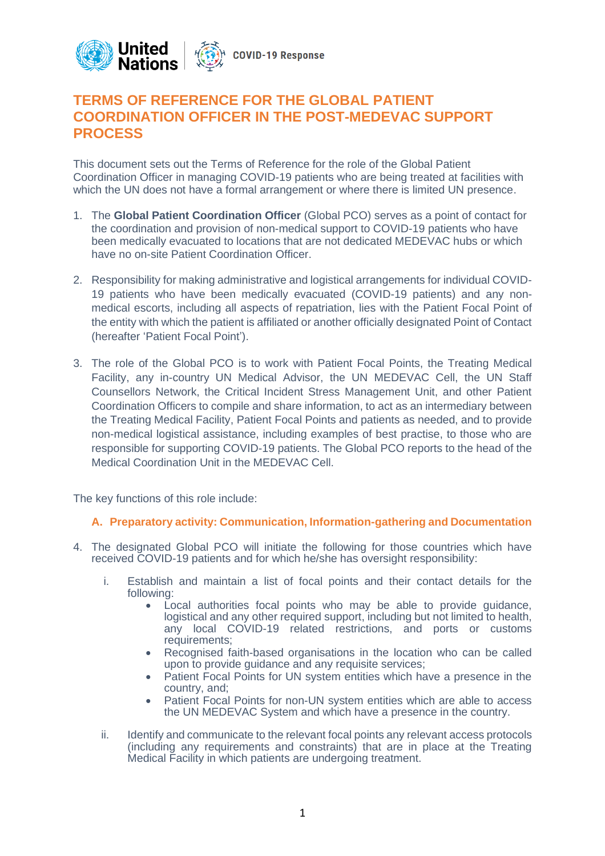

# **TERMS OF REFERENCE FOR THE GLOBAL PATIENT COORDINATION OFFICER IN THE POST-MEDEVAC SUPPORT PROCESS**

This document sets out the Terms of Reference for the role of the Global Patient Coordination Officer in managing COVID-19 patients who are being treated at facilities with which the UN does not have a formal arrangement or where there is limited UN presence.

- 1. The **Global Patient Coordination Officer** (Global PCO) serves as a point of contact for the coordination and provision of non-medical support to COVID-19 patients who have been medically evacuated to locations that are not dedicated MEDEVAC hubs or which have no on-site Patient Coordination Officer.
- 2. Responsibility for making administrative and logistical arrangements for individual COVID-19 patients who have been medically evacuated (COVID-19 patients) and any nonmedical escorts, including all aspects of repatriation, lies with the Patient Focal Point of the entity with which the patient is affiliated or another officially designated Point of Contact (hereafter 'Patient Focal Point').
- 3. The role of the Global PCO is to work with Patient Focal Points, the Treating Medical Facility, any in-country UN Medical Advisor, the UN MEDEVAC Cell, the UN Staff Counsellors Network, the Critical Incident Stress Management Unit, and other Patient Coordination Officers to compile and share information, to act as an intermediary between the Treating Medical Facility, Patient Focal Points and patients as needed, and to provide non-medical logistical assistance, including examples of best practise, to those who are responsible for supporting COVID-19 patients. The Global PCO reports to the head of the Medical Coordination Unit in the MEDEVAC Cell.

The key functions of this role include:

### **A. Preparatory activity: Communication, Information-gathering and Documentation**

- 4. The designated Global PCO will initiate the following for those countries which have received COVID-19 patients and for which he/she has oversight responsibility:
	- i. Establish and maintain a list of focal points and their contact details for the following:
		- Local authorities focal points who may be able to provide guidance, logistical and any other required support, including but not limited to health, any local COVID-19 related restrictions, and ports or customs requirements;
		- Recognised faith-based organisations in the location who can be called upon to provide guidance and any requisite services;
		- Patient Focal Points for UN system entities which have a presence in the country, and;
		- Patient Focal Points for non-UN system entities which are able to access the UN MEDEVAC System and which have a presence in the country.
	- ii. Identify and communicate to the relevant focal points any relevant access protocols (including any requirements and constraints) that are in place at the Treating Medical Facility in which patients are undergoing treatment.